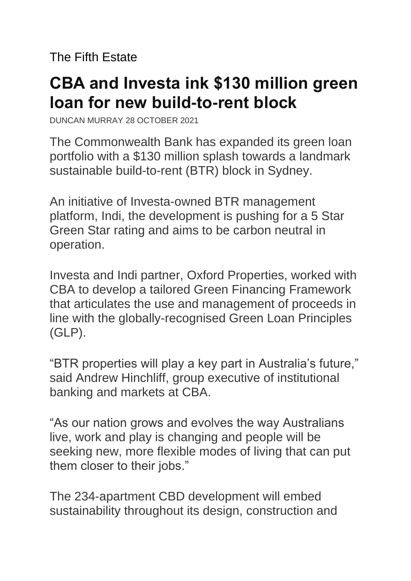The Fifth Estate

## **CBA and Investa ink \$130 million green loan for new build-to-rent block**

DUNCAN MURRAY 28 OCTOBER 2021

The Commonwealth Bank has expanded its green loan portfolio with a \$130 million splash towards a landmark sustainable build-to-rent (BTR) block in Sydney.

An initiative of Investa-owned BTR management platform, Indi, the development is pushing for a 5 Star Green Star rating and aims to be carbon neutral in operation.

Investa and Indi partner, Oxford Properties, worked with CBA to develop a tailored Green Financing Framework that articulates the use and management of proceeds in line with the globally-recognised Green Loan Principles (GLP).

"BTR properties will play a key part in Australia's future," said Andrew Hinchliff, group executive of institutional banking and markets at CBA.

"As our nation grows and evolves the way Australians live, work and play is changing and people will be seeking new, more flexible modes of living that can put them closer to their jobs."

The 234-apartment CBD development will embed sustainability throughout its design, construction and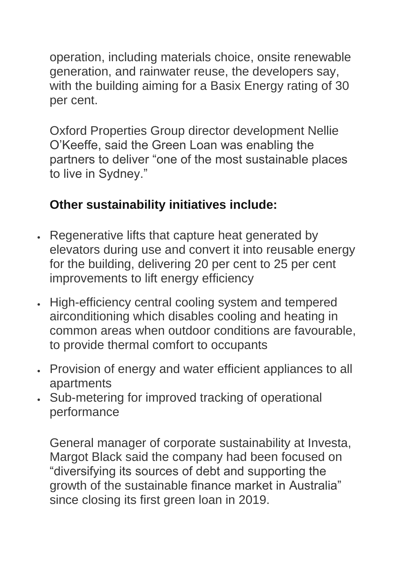operation, including materials choice, onsite renewable generation, and rainwater reuse, the developers say, with the building aiming for a Basix Energy rating of 30 per cent.

Oxford Properties Group director development Nellie O'Keeffe, said the Green Loan was enabling the partners to deliver "one of the most sustainable places to live in Sydney."

## **Other sustainability initiatives include:**

- Regenerative lifts that capture heat generated by elevators during use and convert it into reusable energy for the building, delivering 20 per cent to 25 per cent improvements to lift energy efficiency
- High-efficiency central cooling system and tempered airconditioning which disables cooling and heating in common areas when outdoor conditions are favourable, to provide thermal comfort to occupants
- Provision of energy and water efficient appliances to all apartments
- Sub-metering for improved tracking of operational performance

General manager of corporate sustainability at Investa, Margot Black said the company had been focused on "diversifying its sources of debt and supporting the growth of the sustainable finance market in Australia" since closing its first green loan in 2019.